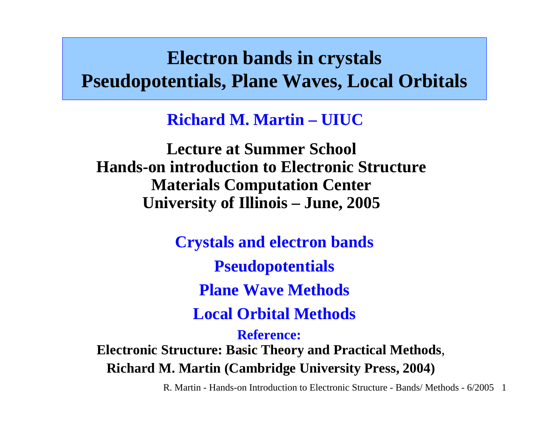#### **Electron bands in crystals Pseudopotentials, Plane Waves, Local Orbitals**

**Richard M. Martin –UIUC**

**Lecture at Summer School Hands-on introduction to Electronic StructureMaterials Computation Center University of Illinois – June, 2005**

**Crystals and electron bands Pseudopotentials Plane Wave Methods Local Orbital Methods Reference: Electronic Structure: Basic Theory and Practical Methods**,

**Richard M. Martin (Cambridge University Press, 2004)**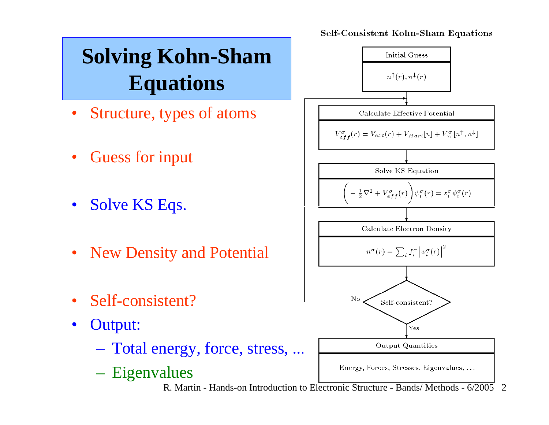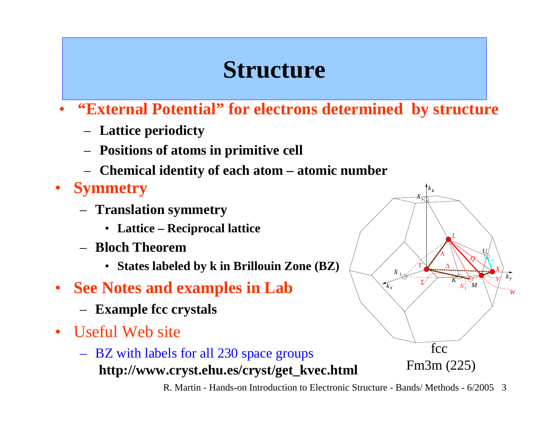## **Structure**

- • **"External Potential" for electrons determined by structure** 
	- **Lattice periodicty**
	- **Positions of atoms in primitive cell**
	- **Chemical identity of each atom – atomic number**
- **Symmetry**
	- **Translation symmetry** 
		- **Lattice – Reciprocal lattice**
	- **Bloch Theorem** 
		- **States labeled by k in Brillouin Zone (BZ)**
- **See Notes and examples in Lab**
	- **Example fcc crystals**
- Useful Web site
	- BZ with labels for all 230 space groups **http://www.cryst.ehu.es/cryst/get\_kvec.html**

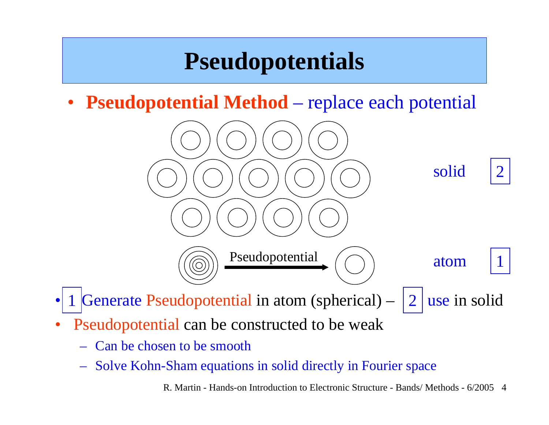## **Pseudopotentials**

• **Pseudopotential Method** – replace each potential



- •Generate Pseudopotential in atom (spherical)  $-$  | 2 | use in solid 12
- •Pseudopotential can be constructed to be weak
	- Can be chosen to be smooth
	- Solve Kohn-Sham equations in solid directly in Fourier space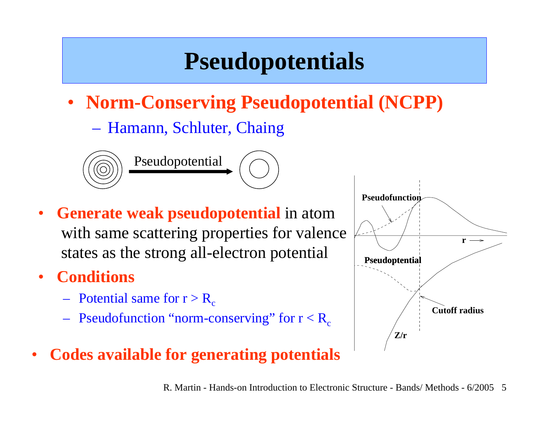## **Pseudopotentials**

- **Norm-Conserving Pseudopotential (NCPP)**
	- Hamann, Schluter, Chaing



- • **Generate weak pseudopotential** in atom with same scattering properties for valence states as the strong all-electron potential
- • **Conditions**
	- $-$  Potential same for  $r > R_c$
	- $-$  Pseudofunction "norm-conserving" for  $\rm r < R_c$
- •**Codes available for generating potentials**

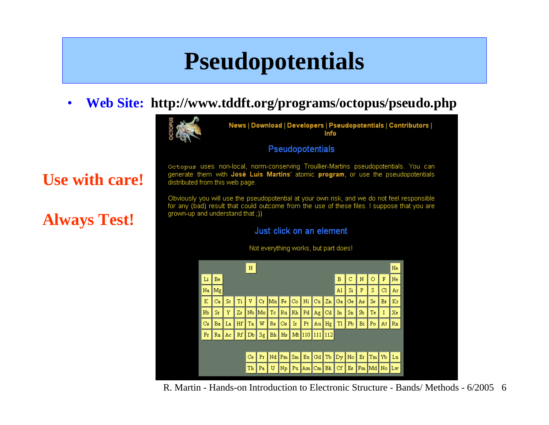### **Pseudopotentials**

•**Web Site: http://www.tddft.org/programs/octopus/pseudo.php**



News | Download | Developers | Pseudopotentials | Contributors | Info

#### **Pseudopotentials**

Octopus uses non-local, norm-conserving Troullier-Martins pseudopotentials. You can generate them with José Luis Martins' atomic program, or use the pseudopotentials distributed from this web page.

Obviously you will use the pseudopotential at your own risk, and we do not feel responsible for any (bad) result that could outcome from the use of these files. I suppose that you are grown-up and understand that ())

#### Just click on an element



Not everything works, but part does!

R. Martin - Hands-on Introduction to Electronic Structure - Bands/ Methods - 6/2005 6

#### **Use with care!**

#### **Always Test!**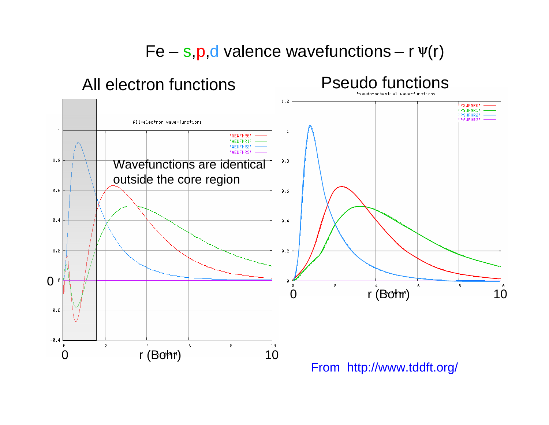Fe – s,p,d valence wavefunctions – <sup>r</sup> <sup>ψ</sup>(r)



From http://www.tddft.org/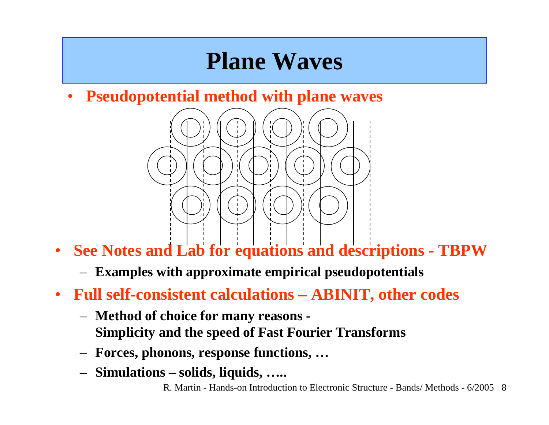### **Plane Waves**

•**Pseudopotential method with plane waves**



- $\bullet$  **See Notes and Lab for equations and descriptions - TBPW**
	- **Examples with approximate empirical pseudopotentials**
- **Full self-consistent calculations – ABINIT, other codes**
	- – **Method of choice for many reasons - Simplicity and the speed of Fast Fourier Transforms**
	- **Forces, phonons, response functions, …**
	- **Simulations – solids, liquids, …..**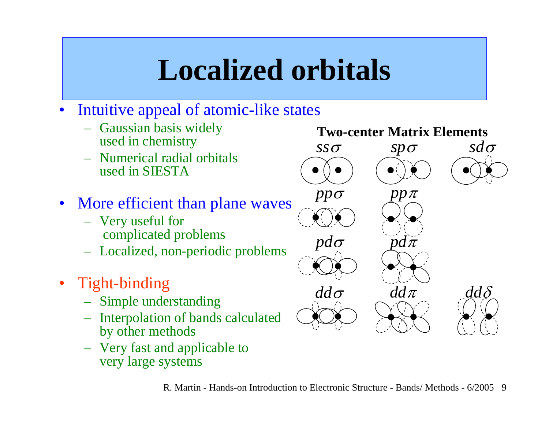# **Localized orbitals**

- •Intuitive appeal of atomic-like states
	- Gaussi an basis widely used in chemistry
	- Numerical radial orbitalsused in SIESTA
- More efficient than plane waves
	- Very useful for complicated problems
	- Localized, non-periodic problems
- Tight-binding
	- Simple understanding
	- Interpolation of bands calculated by other methods
	- Very fast and applicable to very large systems

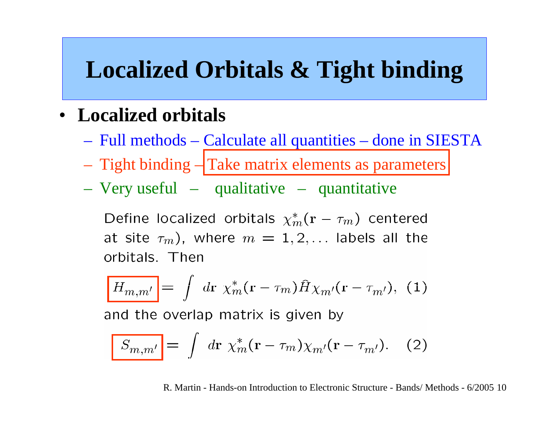### **Localized Orbitals & Tight binding**

#### • **Localized orbitals**

- Full methods Calculate all quantities done in SIESTA
- Tight binding Take matrix elements as parameters
- Very useful qualitative quantitative

Define localized orbitals  $\chi_m^*(\mathbf{r} - \tau_m)$  centered at site  $\tau_m$ ), where  $m = 1, 2, \ldots$  labels all the orbitals. Then

$$
\boxed{H_{m,m'}} = \int d\mathbf{r} \ \chi_m^*(\mathbf{r} - \tau_m) \hat{H} \chi_{m'}(\mathbf{r} - \tau_{m'}), \ (1)
$$

and the overlap matrix is given by

$$
\boxed{S_{m,m'}} = \int d\mathbf{r} \ \chi_m^*(\mathbf{r} - \tau_m) \chi_{m'}(\mathbf{r} - \tau_{m'}). \tag{2}
$$

R. Martin - Hands-on Introduction to Electronic Structure - Bands/ Methods - 6/2005 10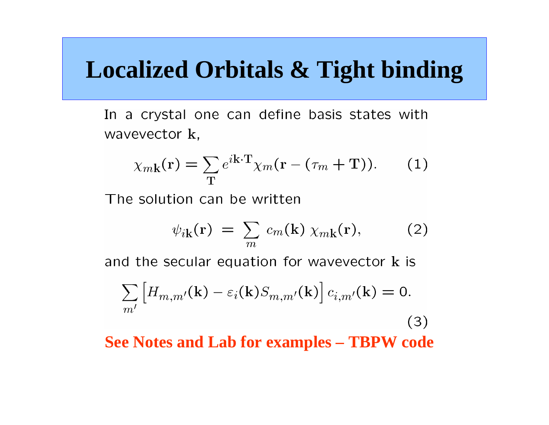#### **Localized Orbitals & Tight binding**

In a crystal one can define basis states with wavevector k,

$$
\chi_{m\mathbf{k}}(\mathbf{r}) = \sum_{\mathbf{T}} e^{i\mathbf{k}\cdot\mathbf{T}} \chi_m(\mathbf{r} - (\tau_m + \mathbf{T})). \tag{1}
$$

The solution can be written

$$
\psi_{i\mathbf{k}}(\mathbf{r}) = \sum_{m} c_{m}(\mathbf{k}) \chi_{m\mathbf{k}}(\mathbf{r}), \qquad (2)
$$

and the secular equation for wavevector k is

$$
\sum_{m'} \left[ H_{m,m'}(\mathbf{k}) - \varepsilon_i(\mathbf{k}) S_{m,m'}(\mathbf{k}) \right] c_{i,m'}(\mathbf{k}) = 0.
$$
\n(3)

\nSee Notes and Lab for examples – TBPW code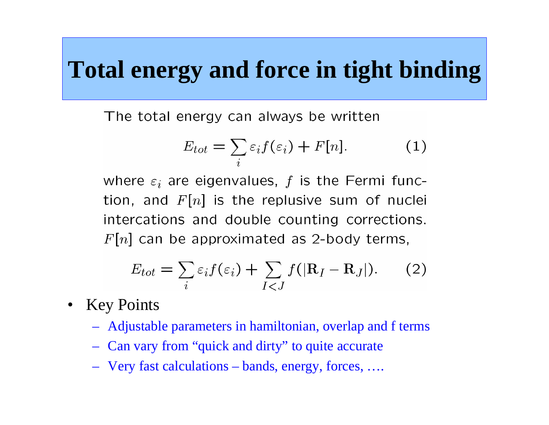## **Total energy and force in tight binding**

The total energy can always be written

$$
E_{tot} = \sum_{i} \varepsilon_i f(\varepsilon_i) + F[n]. \tag{1}
$$

where  $\varepsilon_i$  are eigenvalues, f is the Fermi function, and  $F[n]$  is the replusive sum of nuclei intercations and double counting corrections.  $F[n]$  can be approximated as 2-body terms,

$$
E_{tot} = \sum_{i} \varepsilon_i f(\varepsilon_i) + \sum_{I < J} f(|\mathbf{R}_I - \mathbf{R}_J|). \tag{2}
$$

- $\bullet$ Key Points
	- Adjustable parameters in hamiltonian, overlap and f terms
	- Can vary from "quick and dirty" to quite accurate
	- Very fast calculations bands, energy, forces, ….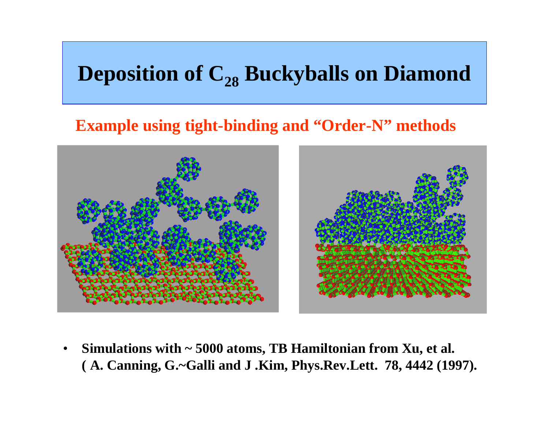#### **Deposition of C28 Buckyballs on Diamond**

#### **Example using tight-binding and "Order-N" methods**



• **Simulations with ~ 5000 atoms, TB Hamiltonian from Xu, et al. ( A. Canning, G.~Galli and J .Kim, Phys.Rev.Lett. 78, 4442 (1997).**